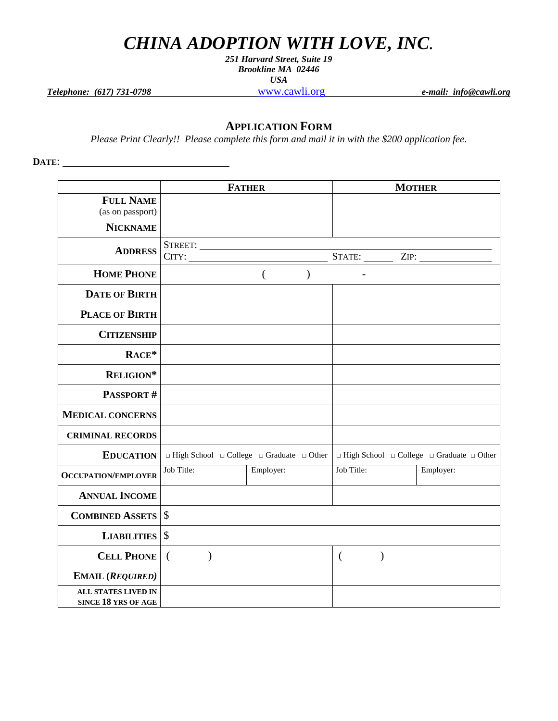## *CHINA ADOPTION WITH LOVE, INC.*

*251 Harvard Street, Suite 19 Brookline MA 02446 USA*

*Telephone: (617) 731-0798* [www.cawli.org](http://www.chinaadoption.org/) *e-mail: info@cawli.org*

## **APPLICATION FORM**

*Please Print Clearly!! Please complete this form and mail it in with the \$200 application fee.*

**DATE**:

|                                                   |                           | <b>FATHER</b>                                                  |                           | <b>MOTHER</b>                                                  |
|---------------------------------------------------|---------------------------|----------------------------------------------------------------|---------------------------|----------------------------------------------------------------|
| <b>FULL NAME</b>                                  |                           |                                                                |                           |                                                                |
| (as on passport)                                  |                           |                                                                |                           |                                                                |
| <b>NICKNAME</b>                                   |                           |                                                                |                           |                                                                |
|                                                   |                           |                                                                |                           |                                                                |
| <b>ADDRESS</b>                                    | CITY:                     |                                                                |                           |                                                                |
| <b>HOME PHONE</b>                                 |                           | $\overline{(\ }$<br>$\mathcal{E}$                              |                           |                                                                |
| <b>DATE OF BIRTH</b>                              |                           |                                                                |                           |                                                                |
| <b>PLACE OF BIRTH</b>                             |                           |                                                                |                           |                                                                |
| <b>CITIZENSHIP</b>                                |                           |                                                                |                           |                                                                |
| RACE*                                             |                           |                                                                |                           |                                                                |
| RELIGION*                                         |                           |                                                                |                           |                                                                |
| <b>PASSPORT#</b>                                  |                           |                                                                |                           |                                                                |
| <b>MEDICAL CONCERNS</b>                           |                           |                                                                |                           |                                                                |
| <b>CRIMINAL RECORDS</b>                           |                           |                                                                |                           |                                                                |
| <b>EDUCATION</b>                                  |                           | $\Box$ High School $\Box$ College $\Box$ Graduate $\Box$ Other |                           | $\Box$ High School $\Box$ College $\Box$ Graduate $\Box$ Other |
| <b>OCCUPATION/EMPLOYER</b>                        | Job Title:                | Employer:                                                      | Job Title:                | Employer:                                                      |
| <b>ANNUAL INCOME</b>                              |                           |                                                                |                           |                                                                |
| <b>COMBINED ASSETS \\$</b>                        |                           |                                                                |                           |                                                                |
| <b>LIABILITIES</b>                                | $\mathcal{S}$             |                                                                |                           |                                                                |
| <b>CELL PHONE</b>                                 | $\left($<br>$\mathcal{E}$ |                                                                | $\left($<br>$\mathcal{E}$ |                                                                |
| <b>EMAIL (REQUIRED)</b>                           |                           |                                                                |                           |                                                                |
| <b>ALL STATES LIVED IN</b><br>SINCE 18 YRS OF AGE |                           |                                                                |                           |                                                                |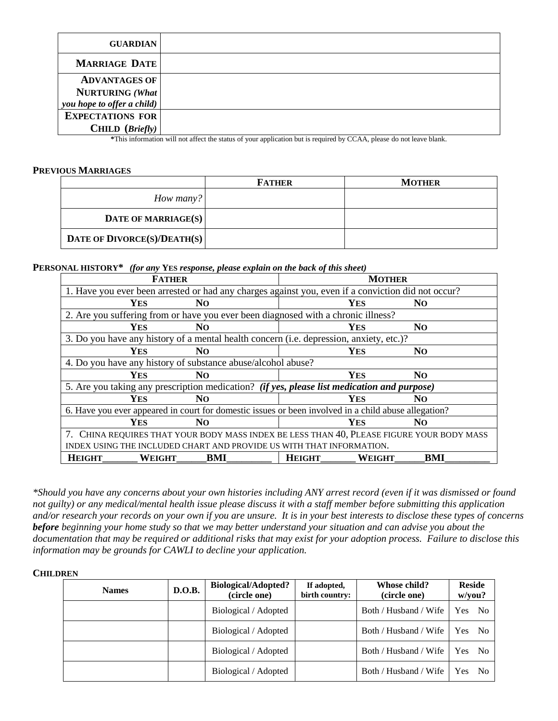| <b>GUARDIAN</b>                                                                                                                                                                                                                                                                                                                          |                                                                                                                            |
|------------------------------------------------------------------------------------------------------------------------------------------------------------------------------------------------------------------------------------------------------------------------------------------------------------------------------------------|----------------------------------------------------------------------------------------------------------------------------|
| <b>MARRIAGE DATE</b>                                                                                                                                                                                                                                                                                                                     |                                                                                                                            |
| <b>ADVANTAGES OF</b>                                                                                                                                                                                                                                                                                                                     |                                                                                                                            |
| <b>NURTURING</b> (What                                                                                                                                                                                                                                                                                                                   |                                                                                                                            |
| you hope to offer a child)                                                                                                                                                                                                                                                                                                               |                                                                                                                            |
| <b>EXPECTATIONS FOR</b>                                                                                                                                                                                                                                                                                                                  |                                                                                                                            |
| CHILD $(Briefly)$<br>$\frac{1}{2}$ $\frac{1}{2}$ $\frac{1}{2}$ $\frac{1}{2}$ $\frac{1}{2}$ $\frac{1}{2}$ $\frac{1}{2}$ $\frac{1}{2}$ $\frac{1}{2}$ $\frac{1}{2}$ $\frac{1}{2}$ $\frac{1}{2}$ $\frac{1}{2}$ $\frac{1}{2}$ $\frac{1}{2}$ $\frac{1}{2}$ $\frac{1}{2}$ $\frac{1}{2}$ $\frac{1}{2}$ $\frac{1}{2}$ $\frac{1}{2}$ $\frac{1}{2}$ | 1.1.1<br>$\sim$<br>$\sim$<br>.<br>المالية المستحدث والمستحدث المتحدث والمتحدث والمتحدث والمتحدث والمتحدث والمتحدث والمتحدث |

**\***This information will not affect the status of your application but is required by CCAA, please do not leave blank.

## **PREVIOUS MARRIAGES**

|                             | <b>FATHER</b> | <b>MOTHER</b> |
|-----------------------------|---------------|---------------|
| How many?                   |               |               |
| DATE OF MARRIAGE(S)         |               |               |
| DATE OF DIVORCE(S)/DEATH(S) |               |               |

**PERSONAL HISTORY\*** *(for any* **YES** *response, please explain on the back of this sheet)*

| <b>FATHER</b>                                                                                        | <b>MOTHER</b>           |                |  |  |
|------------------------------------------------------------------------------------------------------|-------------------------|----------------|--|--|
| 1. Have you ever been arrested or had any charges against you, even if a conviction did not occur?   |                         |                |  |  |
| <b>YES</b><br>N <sub>O</sub>                                                                         | <b>YES</b>              | N <sub>O</sub> |  |  |
| 2. Are you suffering from or have you ever been diagnosed with a chronic illness?                    |                         |                |  |  |
| <b>YES</b><br>N <sub>O</sub>                                                                         | <b>YES</b>              | N <sub>O</sub> |  |  |
| 3. Do you have any history of a mental health concern (i.e. depression, anxiety, etc.)?              |                         |                |  |  |
| Yes<br>N <sub>O</sub>                                                                                | <b>YES</b>              | N <sub>O</sub> |  |  |
| 4. Do you have any history of substance abuse/alcohol abuse?                                         |                         |                |  |  |
| <b>YES</b><br>N <sub>O</sub>                                                                         | <b>YES</b>              | N <sub>O</sub> |  |  |
| 5. Are you taking any prescription medication? (if yes, please list medication and purpose)          |                         |                |  |  |
| <b>YES</b><br>N <sub>O</sub>                                                                         | Yes                     | NO.            |  |  |
| 6. Have you ever appeared in court for domestic issues or been involved in a child abuse allegation? |                         |                |  |  |
| Yes<br>N <sub>O</sub>                                                                                | <b>YES</b>              | N0             |  |  |
| 7. CHINA REQUIRES THAT YOUR BODY MASS INDEX BE LESS THAN 40, PLEASE FIGURE YOUR BODY MASS            |                         |                |  |  |
| INDEX USING THE INCLUDED CHART AND PROVIDE US WITH THAT INFORMATION.                                 |                         |                |  |  |
| BMI<br><b>HEIGHT</b><br><b>WEIGHT</b>                                                                | <b>HEIGHT</b><br>WEIGHT | BMI            |  |  |

*\*Should you have any concerns about your own histories including ANY arrest record (even if it was dismissed or found not guilty) or any medical/mental health issue please discuss it with a staff member before submitting this application and/or research your records on your own if you are unsure. It is in your best interests to disclose these types of concerns before beginning your home study so that we may better understand your situation and can advise you about the documentation that may be required or additional risks that may exist for your adoption process. Failure to disclose this information may be grounds for CAWLI to decline your application.*

## **CHILDREN**

| <b>Names</b> | D.O.B. | <b>Biological/Adopted?</b><br>(circle one) | If adopted,<br>birth country: | Whose child?<br>(circle one) | <b>Reside</b><br>w/you? |
|--------------|--------|--------------------------------------------|-------------------------------|------------------------------|-------------------------|
|              |        | Biological / Adopted                       |                               | Both / Husband / Wife        | Yes No                  |
|              |        | Biological / Adopted                       |                               | Both / Husband / Wife        | Yes No                  |
|              |        | Biological / Adopted                       |                               | Both / Husband / Wife        | Yes No                  |
|              |        | Biological / Adopted                       |                               | Both / Husband / Wife        | Yes No                  |